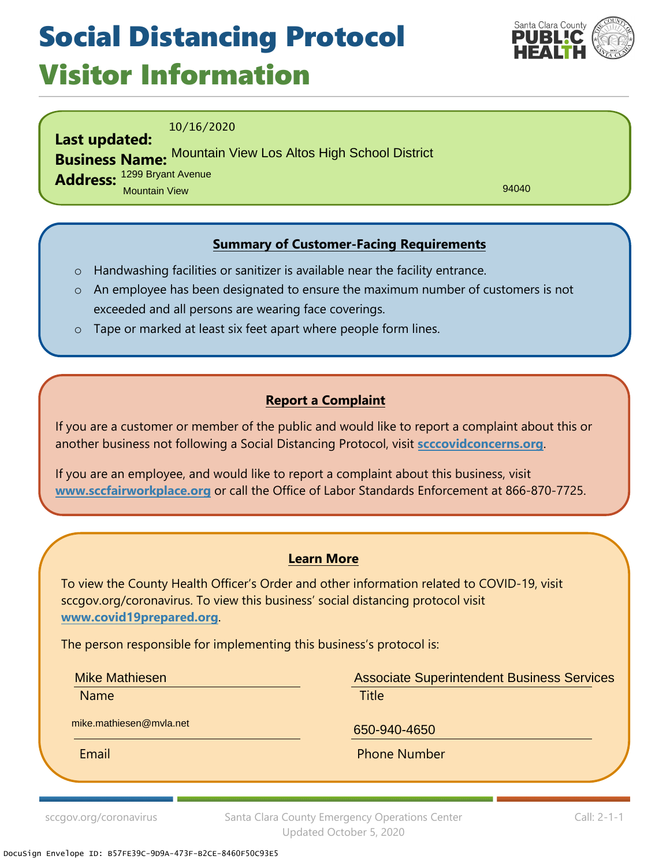## Social Distancing Protocol Visitor Information



10/16/2020

**Last updated: Business Name:** Mountain View Los Altos High School District

**Address:** 1299 Bryant Avenue Mountain View

94040

### **Summary of Customer-Facing Requirements**

- o Handwashing facilities or sanitizer is available near the facility entrance.
- o An employee has been designated to ensure the maximum number of customers is not exceeded and all persons are wearing face coverings.
- o Tape or marked at least six feet apart where people form lines.

#### **Report a Complaint**

If you are a customer or member of the public and would like to report a complaint about this or another business not following a Social Distancing Protocol, visit **scccovidconcerns.org**.

If you are an employee, and would like to report a complaint about this business, visit **www.sccfairworkplace.org** or call the Office of Labor Standards Enforcement at 866-870-7725.

#### **Learn More**

To view the County Health Officer's Order and other information related to COVID-19, visit sccgov.org/coronavirus. To view this business' social distancing protocol visit **www.covid19prepared.org**.

The person responsible for implementing this business's protocol is:

Mike Mathiesen

Name **Name is a strategie of the contract of the Title** 

Associate Superintendent Business Services

mike.mathiesen@mvla.net

650-940-4650

Email **Email** Phone Number

sccgov.org/coronavirus Santa Clara County Emergency Operations Center Updated October 5, 2020